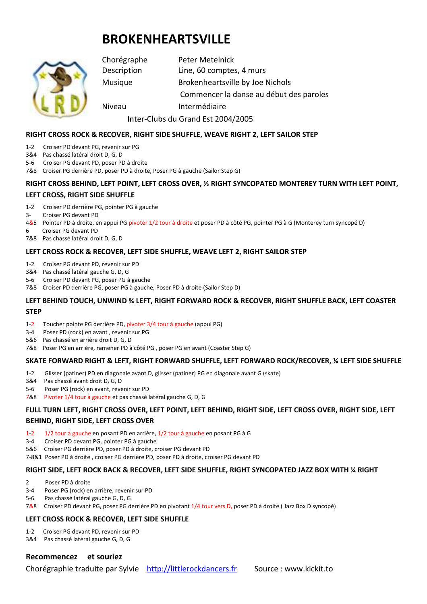# **BROKENHEARTSVILLE**



Chorégraphe Peter Metelnick Description Line, 60 comptes, 4 murs Musique Brokenheartsville by Joe Nichols Commencer la danse au début des paroles Niveau Intermédiaire Inter-Clubs du Grand Est 2004/2005

# **RIGHT CROSS ROCK & RECOVER, RIGHT SIDE SHUFFLE, WEAVE RIGHT 2, LEFT SAILOR STEP**

- 1-2 Croiser PD devant PG, revenir sur PG
- 3&4 Pas chassé latéral droit D, G, D
- 5-6 Croiser PG devant PD, poser PD à droite
- 7&8 Croiser PG derrière PD, poser PD à droite, Poser PG à gauche (Sailor Step G)

# **RIGHT CROSS BEHIND, LEFT POINT, LEFT CROSS OVER, ½ RIGHT SYNCOPATED MONTEREY TURN WITH LEFT POINT, LEFT CROSS, RIGHT SIDE SHUFFLE**

- 1-2 Croiser PD derrière PG, pointer PG à gauche
- 3- Croiser PG devant PD
- 4&5 Pointer PD à droite, en appui PG pivoter 1/2 tour à droite et poser PD à côté PG, pointer PG à G (Monterey turn syncopé D)
- 6 Croiser PG devant PD
- 7&8 Pas chassé latéral droit D, G, D

## **LEFT CROSS ROCK & RECOVER, LEFT SIDE SHUFFLE, WEAVE LEFT 2, RIGHT SAILOR STEP**

- 1-2 Croiser PG devant PD, revenir sur PD
- 3&4 Pas chassé latéral gauche G, D, G
- 5-6 Croiser PD devant PG, poser PG à gauche
- 7&8 Croiser PD derrière PG, poser PG à gauche, Poser PD à droite (Sailor Step D)

# **LEFT BEHIND TOUCH, UNWIND ¾ LEFT, RIGHT FORWARD ROCK & RECOVER, RIGHT SHUFFLE BACK, LEFT COASTER**

#### **STEP**

- 1-2 Toucher pointe PG derrière PD, pivoter 3/4 tour à gauche (appui PG)
- 3-4 Poser PD (rock) en avant , revenir sur PG
- 5&6 Pas chassé en arrière droit D, G, D
- 7&8 Poser PG en arrière, ramener PD à côté PG , poser PG en avant (Coaster Step G)

# **SKATE FORWARD RIGHT & LEFT, RIGHT FORWARD SHUFFLE, LEFT FORWARD ROCK/RECOVER, ¼ LEFT SIDE SHUFFLE**

- 1-2 Glisser (patiner) PD en diagonale avant D, glisser (patiner) PG en diagonale avant G (skate)
- 3&4 Pas chassé avant droit D, G, D
- 5-6 Poser PG (rock) en avant, revenir sur PD
- 7&8 Pivoter 1/4 tour à gauche et pas chassé latéral gauche G, D, G

# **FULL TURN LEFT, RIGHT CROSS OVER, LEFT POINT, LEFT BEHIND, RIGHT SIDE, LEFT CROSS OVER, RIGHT SIDE, LEFT**

## **BEHIND, RIGHT SIDE, LEFT CROSS OVER**

- 1-2 1/2 tour à gauche en posant PD en arrière, 1/2 tour à gauche en posant PG à G
- 3-4 Croiser PD devant PG, pointer PG à gauche
- 5&6 Croiser PG derrière PD, poser PD à droite, croiser PG devant PD
- 7-8&1 Poser PD à droite , croiser PG derrière PD, poser PD à droite, croiser PG devant PD

## **RIGHT SIDE, LEFT ROCK BACK & RECOVER, LEFT SIDE SHUFFLE, RIGHT SYNCOPATED JAZZ BOX WITH ¼ RIGHT**

- 2 Poser PD à droite
- 3-4 Poser PG (rock) en arrière, revenir sur PD
- 5-6 Pas chassé latéral gauche G, D, G
- 7&8 Croiser PD devant PG, poser PG derrière PD en pivotant 1/4 tour vers D, poser PD à droite ( Jazz Box D syncopé)

## **LEFT CROSS ROCK & RECOVER, LEFT SIDE SHUFFLE**

- 1-2 Croiser PG devant PD, revenir sur PD
- 3&4 Pas chassé latéral gauche G, D, G

## **Recommencez et souriez**

Chorégraphie traduite par Sylvie http://littlerockdancers.fr Source : www.kickit.to